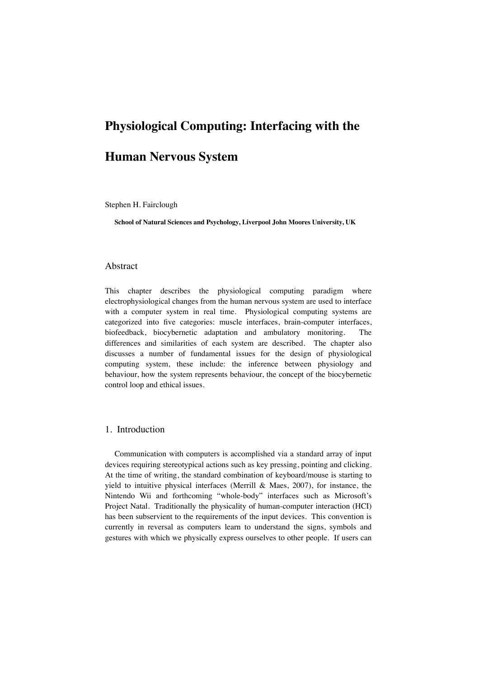# **Physiological Computing: Interfacing with the**

# **Human Nervous System**

Stephen H. Fairclough

**School of Natural Sciences and Psychology, Liverpool John Moores University, UK**

## Abstract

This chapter describes the physiological computing paradigm where electrophysiological changes from the human nervous system are used to interface with a computer system in real time. Physiological computing systems are categorized into five categories: muscle interfaces, brain-computer interfaces, biofeedback, biocybernetic adaptation and ambulatory monitoring. The differences and similarities of each system are described. The chapter also discusses a number of fundamental issues for the design of physiological computing system, these include: the inference between physiology and behaviour, how the system represents behaviour, the concept of the biocybernetic control loop and ethical issues.

#### 1. Introduction

Communication with computers is accomplished via a standard array of input devices requiring stereotypical actions such as key pressing, pointing and clicking. At the time of writing, the standard combination of keyboard/mouse is starting to yield to intuitive physical interfaces (Merrill & Maes, 2007), for instance, the Nintendo Wii and forthcoming "whole-body" interfaces such as Microsoft's Project Natal. Traditionally the physicality of human-computer interaction (HCI) has been subservient to the requirements of the input devices. This convention is currently in reversal as computers learn to understand the signs, symbols and gestures with which we physically express ourselves to other people. If users can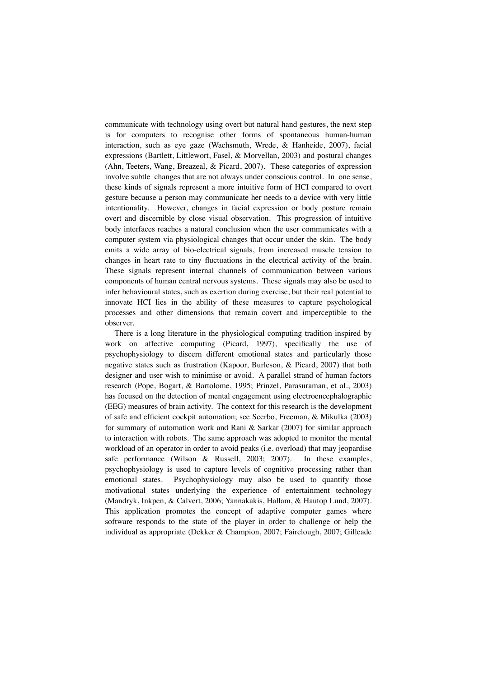communicate with technology using overt but natural hand gestures, the next step is for computers to recognise other forms of spontaneous human-human interaction, such as eye gaze (Wachsmuth, Wrede, & Hanheide, 2007), facial expressions (Bartlett, Littlewort, Fasel, & Morvellan, 2003) and postural changes (Ahn, Teeters, Wang, Breazeal, & Picard, 2007). These categories of expression involve subtle changes that are not always under conscious control. In one sense, these kinds of signals represent a more intuitive form of HCI compared to overt gesture because a person may communicate her needs to a device with very little intentionality. However, changes in facial expression or body posture remain overt and discernible by close visual observation. This progression of intuitive body interfaces reaches a natural conclusion when the user communicates with a computer system via physiological changes that occur under the skin. The body emits a wide array of bio-electrical signals, from increased muscle tension to changes in heart rate to tiny fluctuations in the electrical activity of the brain. These signals represent internal channels of communication between various components of human central nervous systems. These signals may also be used to infer behavioural states, such as exertion during exercise, but their real potential to innovate HCI lies in the ability of these measures to capture psychological processes and other dimensions that remain covert and imperceptible to the observer.

There is a long literature in the physiological computing tradition inspired by work on affective computing (Picard, 1997), specifically the use of psychophysiology to discern different emotional states and particularly those negative states such as frustration (Kapoor, Burleson, & Picard, 2007) that both designer and user wish to minimise or avoid. A parallel strand of human factors research (Pope, Bogart, & Bartolome, 1995; Prinzel, Parasuraman, et al., 2003) has focused on the detection of mental engagement using electroencephalographic (EEG) measures of brain activity. The context for this research is the development of safe and efficient cockpit automation; see Scerbo, Freeman, & Mikulka (2003) for summary of automation work and Rani & Sarkar (2007) for similar approach to interaction with robots. The same approach was adopted to monitor the mental workload of an operator in order to avoid peaks (i.e. overload) that may jeopardise safe performance (Wilson & Russell, 2003; 2007). In these examples, psychophysiology is used to capture levels of cognitive processing rather than emotional states. Psychophysiology may also be used to quantify those motivational states underlying the experience of entertainment technology (Mandryk, Inkpen, & Calvert, 2006; Yannakakis, Hallam, & Hautop Lund, 2007). This application promotes the concept of adaptive computer games where software responds to the state of the player in order to challenge or help the individual as appropriate (Dekker & Champion, 2007; Fairclough, 2007; Gilleade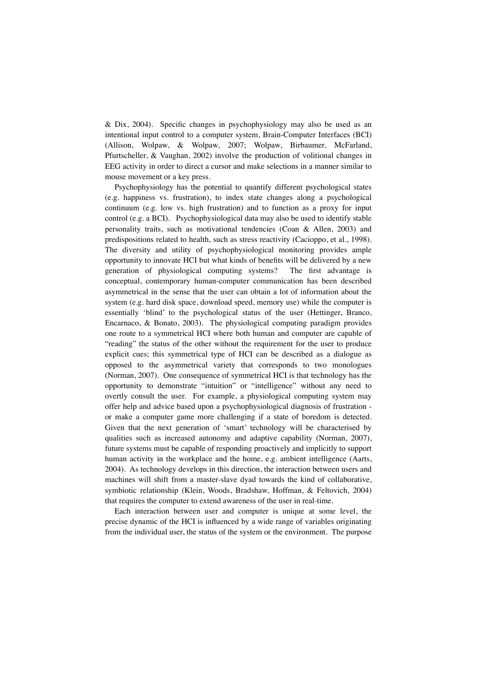& Dix, 2004). Specific changes in psychophysiology may also be used as an intentional input control to a computer system, Brain-Computer Interfaces (BCI) (Allison, Wolpaw, & Wolpaw, 2007; Wolpaw, Birbaumer, McFarland, Pfurtscheller, & Vaughan, 2002) involve the production of volitional changes in EEG activity in order to direct a cursor and make selections in a manner similar to mouse movement or a key press.

Psychophysiology has the potential to quantify different psychological states (e.g. happiness vs. frustration), to index state changes along a psychological continuum (e.g. low vs. high frustration) and to function as a proxy for input control (e.g. a BCI). Psychophysiological data may also be used to identify stable personality traits, such as motivational tendencies (Coan & Allen, 2003) and predispositions related to health, such as stress reactivity (Cacioppo, et al., 1998). The diversity and utility of psychophysiological monitoring provides ample opportunity to innovate HCI but what kinds of benefits will be delivered by a new generation of physiological computing systems? The first advantage is conceptual, contemporary human-computer communication has been described asymmetrical in the sense that the user can obtain a lot of information about the system (e.g. hard disk space, download speed, memory use) while the computer is essentially 'blind' to the psychological status of the user (Hettinger, Branco, Encarnaco, & Bonato, 2003). The physiological computing paradigm provides one route to a symmetrical HCI where both human and computer are capable of "reading" the status of the other without the requirement for the user to produce explicit cues; this symmetrical type of HCI can be described as a dialogue as opposed to the asymmetrical variety that corresponds to two monologues (Norman, 2007). One consequence of symmetrical HCI is that technology has the opportunity to demonstrate "intuition" or "intelligence" without any need to overtly consult the user. For example, a physiological computing system may offer help and advice based upon a psychophysiological diagnosis of frustration or make a computer game more challenging if a state of boredom is detected. Given that the next generation of 'smart' technology will be characterised by qualities such as increased autonomy and adaptive capability (Norman, 2007), future systems must be capable of responding proactively and implicitly to support human activity in the workplace and the home, e.g. ambient intelligence (Aarts, 2004). As technology develops in this direction, the interaction between users and machines will shift from a master-slave dyad towards the kind of collaborative, symbiotic relationship (Klein, Woods, Bradshaw, Hoffman, & Feltovich, 2004) that requires the computer to extend awareness of the user in real-time.

Each interaction between user and computer is unique at some level, the precise dynamic of the HCI is influenced by a wide range of variables originating from the individual user, the status of the system or the environment. The purpose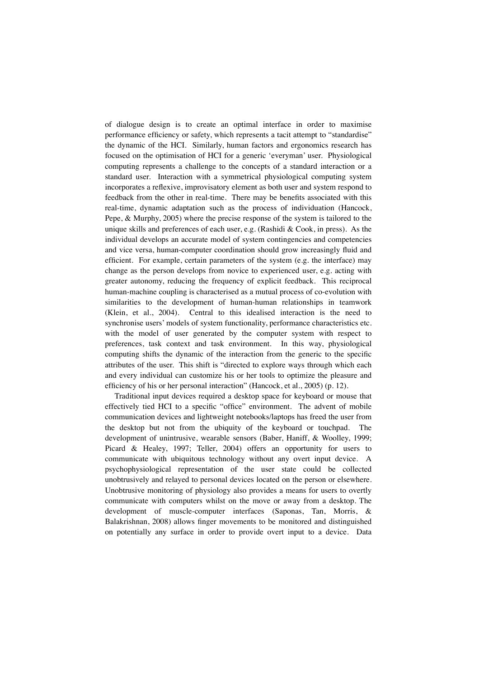of dialogue design is to create an optimal interface in order to maximise performance efficiency or safety, which represents a tacit attempt to "standardise" the dynamic of the HCI. Similarly, human factors and ergonomics research has focused on the optimisation of HCI for a generic 'everyman' user. Physiological computing represents a challenge to the concepts of a standard interaction or a standard user. Interaction with a symmetrical physiological computing system incorporates a reflexive, improvisatory element as both user and system respond to feedback from the other in real-time. There may be benefits associated with this real-time, dynamic adaptation such as the process of individuation (Hancock, Pepe, & Murphy, 2005) where the precise response of the system is tailored to the unique skills and preferences of each user, e.g. (Rashidi & Cook, in press). As the individual develops an accurate model of system contingencies and competencies and vice versa, human-computer coordination should grow increasingly fluid and efficient. For example, certain parameters of the system (e.g. the interface) may change as the person develops from novice to experienced user, e.g. acting with greater autonomy, reducing the frequency of explicit feedback. This reciprocal human-machine coupling is characterised as a mutual process of co-evolution with similarities to the development of human-human relationships in teamwork (Klein, et al., 2004). Central to this idealised interaction is the need to synchronise users' models of system functionality, performance characteristics etc. with the model of user generated by the computer system with respect to preferences, task context and task environment. In this way, physiological computing shifts the dynamic of the interaction from the generic to the specific attributes of the user. This shift is "directed to explore ways through which each and every individual can customize his or her tools to optimize the pleasure and efficiency of his or her personal interaction" (Hancock, et al., 2005) (p. 12).

Traditional input devices required a desktop space for keyboard or mouse that effectively tied HCI to a specific "office" environment. The advent of mobile communication devices and lightweight notebooks/laptops has freed the user from the desktop but not from the ubiquity of the keyboard or touchpad. The development of unintrusive, wearable sensors (Baber, Haniff, & Woolley, 1999; Picard & Healey, 1997; Teller, 2004) offers an opportunity for users to communicate with ubiquitous technology without any overt input device. A psychophysiological representation of the user state could be collected unobtrusively and relayed to personal devices located on the person or elsewhere. Unobtrusive monitoring of physiology also provides a means for users to overtly communicate with computers whilst on the move or away from a desktop. The development of muscle-computer interfaces (Saponas, Tan, Morris, & Balakrishnan, 2008) allows finger movements to be monitored and distinguished on potentially any surface in order to provide overt input to a device. Data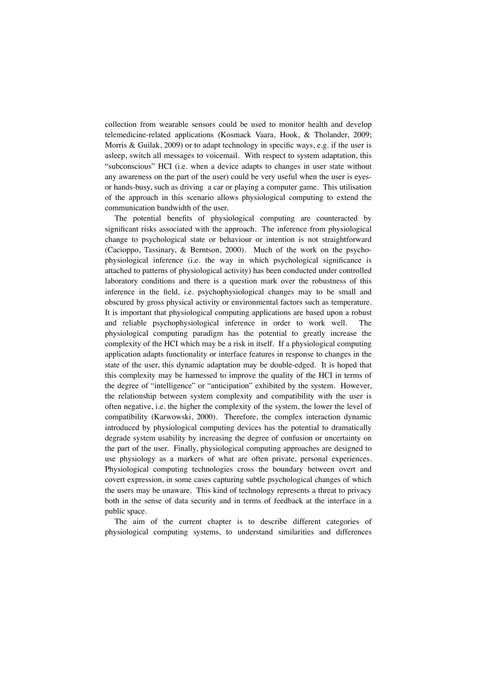collection from wearable sensors could be used to monitor health and develop telemedicine-related applications (Kosmack Vaara, Hook, & Tholander, 2009; Morris & Guilak, 2009) or to adapt technology in specific ways, e.g. if the user is asleep, switch all messages to voicemail. With respect to system adaptation, this "subconscious" HCI (i.e. when a device adapts to changes in user state without any awareness on the part of the user) could be very useful when the user is eyesor hands-busy, such as driving a car or playing a computer game. This utilisation of the approach in this scenario allows physiological computing to extend the communication bandwidth of the user.

The potential benefits of physiological computing are counteracted by significant risks associated with the approach. The inference from physiological change to psychological state or behaviour or intention is not straightforward (Cacioppo, Tassinary, & Berntson, 2000). Much of the work on the psychophysiological inference (i.e. the way in which psychological significance is attached to patterns of physiological activity) has been conducted under controlled laboratory conditions and there is a question mark over the robustness of this inference in the field, i.e. psychophysiological changes may to be small and obscured by gross physical activity or environmental factors such as temperature. It is important that physiological computing applications are based upon a robust and reliable psychophysiological inference in order to work well. The physiological computing paradigm has the potential to greatly increase the complexity of the HCI which may be a risk in itself. If a physiological computing application adapts functionality or interface features in response to changes in the state of the user, this dynamic adaptation may be double-edged. It is hoped that this complexity may be harnessed to improve the quality of the HCI in terms of the degree of "intelligence" or "anticipation" exhibited by the system. However, the relationship between system complexity and compatibility with the user is often negative, i.e. the higher the complexity of the system, the lower the level of compatibility (Karwowski, 2000). Therefore, the complex interaction dynamic introduced by physiological computing devices has the potential to dramatically degrade system usability by increasing the degree of confusion or uncertainty on the part of the user. Finally, physiological computing approaches are designed to use physiology as a markers of what are often private, personal experiences. Physiological computing technologies cross the boundary between overt and covert expression, in some cases capturing subtle psychological changes of which the users may be unaware. This kind of technology represents a threat to privacy both in the sense of data security and in terms of feedback at the interface in a public space.

The aim of the current chapter is to describe different categories of physiological computing systems, to understand similarities and differences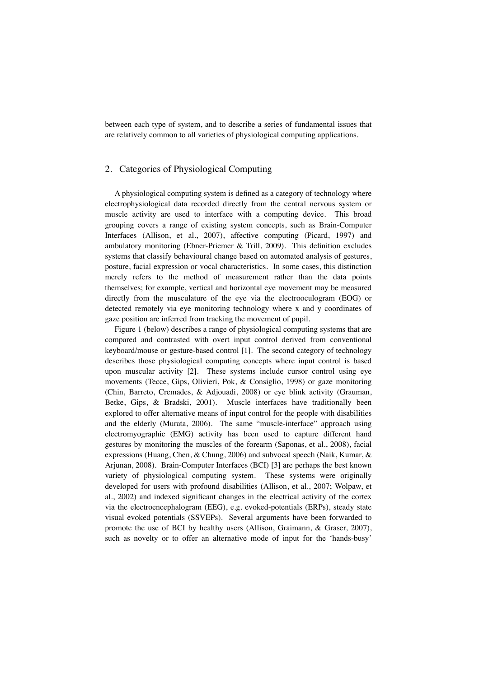between each type of system, and to describe a series of fundamental issues that are relatively common to all varieties of physiological computing applications.

# 2. Categories of Physiological Computing

A physiological computing system is defined as a category of technology where electrophysiological data recorded directly from the central nervous system or muscle activity are used to interface with a computing device. This broad grouping covers a range of existing system concepts, such as Brain-Computer Interfaces (Allison, et al., 2007), affective computing (Picard, 1997) and ambulatory monitoring (Ebner-Priemer & Trill, 2009). This definition excludes systems that classify behavioural change based on automated analysis of gestures, posture, facial expression or vocal characteristics. In some cases, this distinction merely refers to the method of measurement rather than the data points themselves; for example, vertical and horizontal eye movement may be measured directly from the musculature of the eye via the electrooculogram (EOG) or detected remotely via eye monitoring technology where x and y coordinates of gaze position are inferred from tracking the movement of pupil.

Figure 1 (below) describes a range of physiological computing systems that are compared and contrasted with overt input control derived from conventional keyboard/mouse or gesture-based control [1]. The second category of technology describes those physiological computing concepts where input control is based upon muscular activity [2]. These systems include cursor control using eye movements (Tecce, Gips, Olivieri, Pok, & Consiglio, 1998) or gaze monitoring (Chin, Barreto, Cremades, & Adjouadi, 2008) or eye blink activity (Grauman, Betke, Gips, & Bradski, 2001). Muscle interfaces have traditionally been explored to offer alternative means of input control for the people with disabilities and the elderly (Murata, 2006). The same "muscle-interface" approach using electromyographic (EMG) activity has been used to capture different hand gestures by monitoring the muscles of the forearm (Saponas, et al., 2008), facial expressions (Huang, Chen, & Chung, 2006) and subvocal speech (Naik, Kumar, & Arjunan, 2008). Brain-Computer Interfaces (BCI) [3] are perhaps the best known variety of physiological computing system. These systems were originally developed for users with profound disabilities (Allison, et al., 2007; Wolpaw, et al., 2002) and indexed significant changes in the electrical activity of the cortex via the electroencephalogram (EEG), e.g. evoked-potentials (ERPs), steady state visual evoked potentials (SSVEPs). Several arguments have been forwarded to promote the use of BCI by healthy users (Allison, Graimann, & Graser, 2007), such as novelty or to offer an alternative mode of input for the 'hands-busy'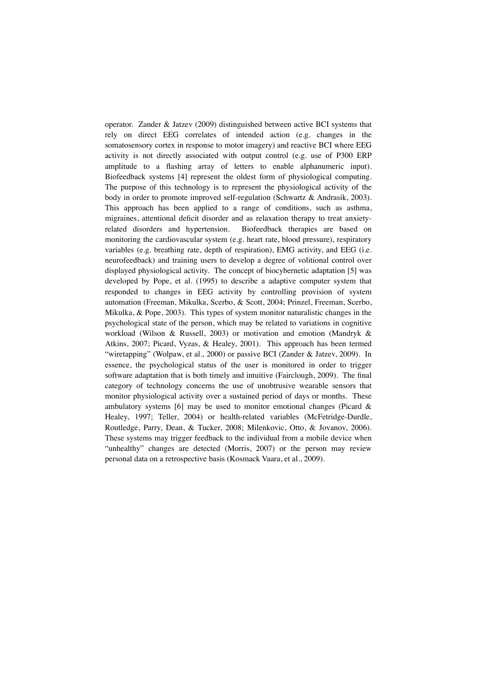operator. Zander & Jatzev (2009) distinguished between active BCI systems that rely on direct EEG correlates of intended action (e.g. changes in the somatosensory cortex in response to motor imagery) and reactive BCI where EEG activity is not directly associated with output control (e.g. use of P300 ERP amplitude to a flashing array of letters to enable alphanumeric input). Biofeedback systems [4] represent the oldest form of physiological computing. The purpose of this technology is to represent the physiological activity of the body in order to promote improved self-regulation (Schwartz & Andrasik, 2003). This approach has been applied to a range of conditions, such as asthma, migraines, attentional deficit disorder and as relaxation therapy to treat anxietyrelated disorders and hypertension. Biofeedback therapies are based on monitoring the cardiovascular system (e.g. heart rate, blood pressure), respiratory variables (e.g. breathing rate, depth of respiration), EMG activity, and EEG (i.e. neurofeedback) and training users to develop a degree of volitional control over displayed physiological activity. The concept of biocybernetic adaptation [5] was developed by Pope, et al. (1995) to describe a adaptive computer system that responded to changes in EEG activity by controlling provision of system automation (Freeman, Mikulka, Scerbo, & Scott, 2004; Prinzel, Freeman, Scerbo, Mikulka, & Pope, 2003). This types of system monitor naturalistic changes in the psychological state of the person, which may be related to variations in cognitive workload (Wilson & Russell, 2003) or motivation and emotion (Mandryk & Atkins, 2007; Picard, Vyzas, & Healey, 2001). This approach has been termed "wiretapping" (Wolpaw, et al., 2000) or passive BCI (Zander & Jatzev, 2009). In essence, the psychological status of the user is monitored in order to trigger software adaptation that is both timely and intuitive (Fairclough, 2009). The final category of technology concerns the use of unobtrusive wearable sensors that monitor physiological activity over a sustained period of days or months. These ambulatory systems [6] may be used to monitor emotional changes (Picard & Healey, 1997; Teller, 2004) or health-related variables (McFetridge-Durdle, Routledge, Parry, Dean, & Tucker, 2008; Milenkovic, Otto, & Jovanov, 2006). These systems may trigger feedback to the individual from a mobile device when "unhealthy" changes are detected (Morris, 2007) or the person may review personal data on a retrospective basis (Kosmack Vaara, et al., 2009).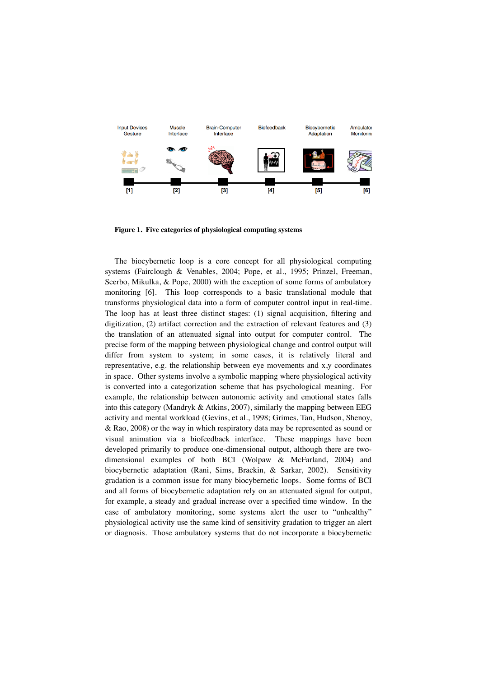

**Figure 1. Five categories of physiological computing systems**

The biocybernetic loop is a core concept for all physiological computing systems (Fairclough & Venables, 2004; Pope, et al., 1995; Prinzel, Freeman, Scerbo, Mikulka, & Pope, 2000) with the exception of some forms of ambulatory monitoring [6]. This loop corresponds to a basic translational module that transforms physiological data into a form of computer control input in real-time. The loop has at least three distinct stages: (1) signal acquisition, filtering and digitization, (2) artifact correction and the extraction of relevant features and (3) the translation of an attenuated signal into output for computer control. The precise form of the mapping between physiological change and control output will differ from system to system; in some cases, it is relatively literal and representative, e.g. the relationship between eye movements and x,y coordinates in space. Other systems involve a symbolic mapping where physiological activity is converted into a categorization scheme that has psychological meaning. For example, the relationship between autonomic activity and emotional states falls into this category (Mandryk & Atkins, 2007), similarly the mapping between EEG activity and mental workload (Gevins, et al., 1998; Grimes, Tan, Hudson, Shenoy, & Rao, 2008) or the way in which respiratory data may be represented as sound or visual animation via a biofeedback interface. These mappings have been developed primarily to produce one-dimensional output, although there are twodimensional examples of both BCI (Wolpaw & McFarland, 2004) and biocybernetic adaptation (Rani, Sims, Brackin, & Sarkar, 2002). Sensitivity gradation is a common issue for many biocybernetic loops. Some forms of BCI and all forms of biocybernetic adaptation rely on an attenuated signal for output, for example, a steady and gradual increase over a specified time window. In the case of ambulatory monitoring, some systems alert the user to "unhealthy" physiological activity use the same kind of sensitivity gradation to trigger an alert or diagnosis. Those ambulatory systems that do not incorporate a biocybernetic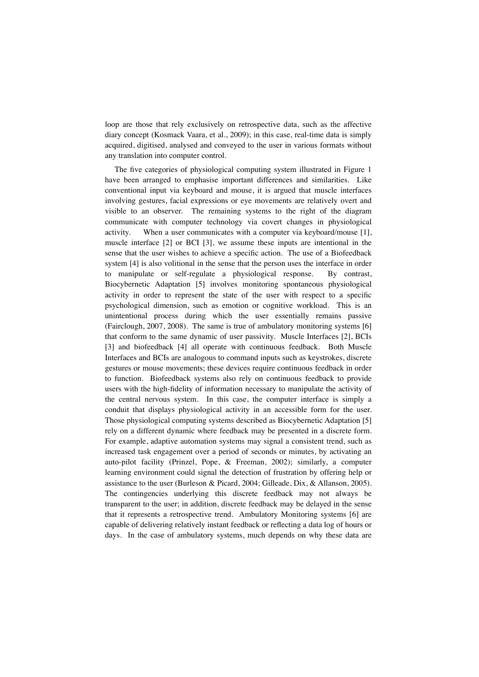loop are those that rely exclusively on retrospective data, such as the affective diary concept (Kosmack Vaara, et al., 2009); in this case, real-time data is simply acquired, digitised, analysed and conveyed to the user in various formats without any translation into computer control.

The five categories of physiological computing system illustrated in Figure 1 have been arranged to emphasise important differences and similarities. Like conventional input via keyboard and mouse, it is argued that muscle interfaces involving gestures, facial expressions or eye movements are relatively overt and visible to an observer. The remaining systems to the right of the diagram communicate with computer technology via covert changes in physiological activity. When a user communicates with a computer via keyboard/mouse [1], muscle interface [2] or BCI [3], we assume these inputs are intentional in the sense that the user wishes to achieve a specific action. The use of a Biofeedback system [4] is also volitional in the sense that the person uses the interface in order to manipulate or self-regulate a physiological response. By contrast, Biocybernetic Adaptation [5] involves monitoring spontaneous physiological activity in order to represent the state of the user with respect to a specific psychological dimension, such as emotion or cognitive workload. This is an unintentional process during which the user essentially remains passive (Fairclough, 2007, 2008). The same is true of ambulatory monitoring systems [6] that conform to the same dynamic of user passivity. Muscle Interfaces [2], BCIs [3] and biofeedback [4] all operate with continuous feedback. Both Muscle Interfaces and BCIs are analogous to command inputs such as keystrokes, discrete gestures or mouse movements; these devices require continuous feedback in order to function. Biofeedback systems also rely on continuous feedback to provide users with the high-fidelity of information necessary to manipulate the activity of the central nervous system. In this case, the computer interface is simply a conduit that displays physiological activity in an accessible form for the user. Those physiological computing systems described as Biocybernetic Adaptation [5] rely on a different dynamic where feedback may be presented in a discrete form. For example, adaptive automation systems may signal a consistent trend, such as increased task engagement over a period of seconds or minutes, by activating an auto-pilot facility (Prinzel, Pope, & Freeman, 2002); similarly, a computer learning environment could signal the detection of frustration by offering help or assistance to the user (Burleson & Picard, 2004; Gilleade, Dix, & Allanson, 2005). The contingencies underlying this discrete feedback may not always be transparent to the user; in addition, discrete feedback may be delayed in the sense that it represents a retrospective trend. Ambulatory Monitoring systems [6] are capable of delivering relatively instant feedback or reflecting a data log of hours or days. In the case of ambulatory systems, much depends on why these data are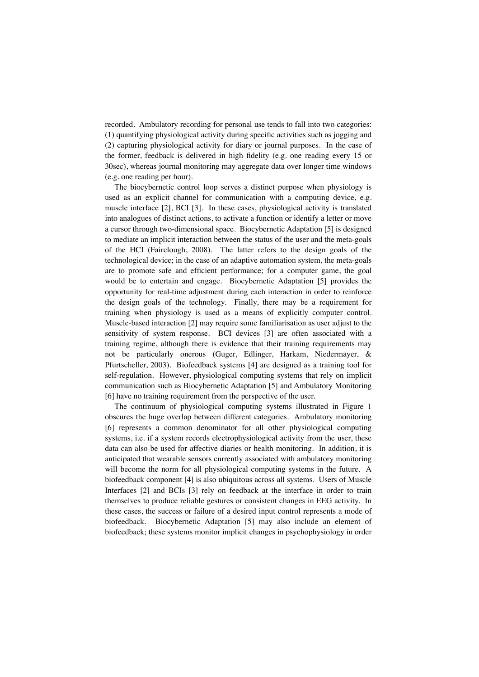recorded. Ambulatory recording for personal use tends to fall into two categories: (1) quantifying physiological activity during specific activities such as jogging and (2) capturing physiological activity for diary or journal purposes. In the case of the former, feedback is delivered in high fidelity (e.g. one reading every 15 or 30sec), whereas journal monitoring may aggregate data over longer time windows (e.g. one reading per hour).

The biocybernetic control loop serves a distinct purpose when physiology is used as an explicit channel for communication with a computing device, e.g. muscle interface [2], BCI [3]. In these cases, physiological activity is translated into analogues of distinct actions, to activate a function or identify a letter or move a cursor through two-dimensional space. Biocybernetic Adaptation [5] is designed to mediate an implicit interaction between the status of the user and the meta-goals of the HCI (Fairclough, 2008). The latter refers to the design goals of the technological device; in the case of an adaptive automation system, the meta-goals are to promote safe and efficient performance; for a computer game, the goal would be to entertain and engage. Biocybernetic Adaptation [5] provides the opportunity for real-time adjustment during each interaction in order to reinforce the design goals of the technology. Finally, there may be a requirement for training when physiology is used as a means of explicitly computer control. Muscle-based interaction [2] may require some familiarisation as user adjust to the sensitivity of system response. BCI devices [3] are often associated with a training regime, although there is evidence that their training requirements may not be particularly onerous (Guger, Edlinger, Harkam, Niedermayer, & Pfurtscheller, 2003). Biofeedback systems [4] are designed as a training tool for self-regulation. However, physiological computing systems that rely on implicit communication such as Biocybernetic Adaptation [5] and Ambulatory Monitoring [6] have no training requirement from the perspective of the user.

The continuum of physiological computing systems illustrated in Figure 1 obscures the huge overlap between different categories. Ambulatory monitoring [6] represents a common denominator for all other physiological computing systems, i.e. if a system records electrophysiological activity from the user, these data can also be used for affective diaries or health monitoring. In addition, it is anticipated that wearable sensors currently associated with ambulatory monitoring will become the norm for all physiological computing systems in the future. A biofeedback component [4] is also ubiquitous across all systems. Users of Muscle Interfaces [2] and BCIs [3] rely on feedback at the interface in order to train themselves to produce reliable gestures or consistent changes in EEG activity. In these cases, the success or failure of a desired input control represents a mode of biofeedback. Biocybernetic Adaptation [5] may also include an element of biofeedback; these systems monitor implicit changes in psychophysiology in order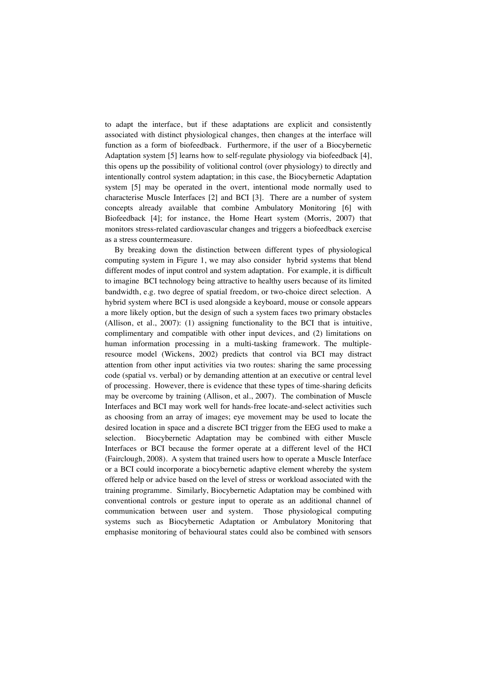to adapt the interface, but if these adaptations are explicit and consistently associated with distinct physiological changes, then changes at the interface will function as a form of biofeedback. Furthermore, if the user of a Biocybernetic Adaptation system [5] learns how to self-regulate physiology via biofeedback [4], this opens up the possibility of volitional control (over physiology) to directly and intentionally control system adaptation; in this case, the Biocybernetic Adaptation system [5] may be operated in the overt, intentional mode normally used to characterise Muscle Interfaces [2] and BCI [3]. There are a number of system concepts already available that combine Ambulatory Monitoring [6] with Biofeedback [4]; for instance, the Home Heart system (Morris, 2007) that monitors stress-related cardiovascular changes and triggers a biofeedback exercise as a stress countermeasure.

By breaking down the distinction between different types of physiological computing system in Figure 1, we may also consider hybrid systems that blend different modes of input control and system adaptation. For example, it is difficult to imagine BCI technology being attractive to healthy users because of its limited bandwidth, e.g. two degree of spatial freedom, or two-choice direct selection. A hybrid system where BCI is used alongside a keyboard, mouse or console appears a more likely option, but the design of such a system faces two primary obstacles (Allison, et al., 2007): (1) assigning functionality to the BCI that is intuitive, complimentary and compatible with other input devices, and (2) limitations on human information processing in a multi-tasking framework. The multipleresource model (Wickens, 2002) predicts that control via BCI may distract attention from other input activities via two routes: sharing the same processing code (spatial vs. verbal) or by demanding attention at an executive or central level of processing. However, there is evidence that these types of time-sharing deficits may be overcome by training (Allison, et al., 2007). The combination of Muscle Interfaces and BCI may work well for hands-free locate-and-select activities such as choosing from an array of images; eye movement may be used to locate the desired location in space and a discrete BCI trigger from the EEG used to make a selection. Biocybernetic Adaptation may be combined with either Muscle Interfaces or BCI because the former operate at a different level of the HCI (Fairclough, 2008). A system that trained users how to operate a Muscle Interface or a BCI could incorporate a biocybernetic adaptive element whereby the system offered help or advice based on the level of stress or workload associated with the training programme. Similarly, Biocybernetic Adaptation may be combined with conventional controls or gesture input to operate as an additional channel of communication between user and system. Those physiological computing systems such as Biocybernetic Adaptation or Ambulatory Monitoring that emphasise monitoring of behavioural states could also be combined with sensors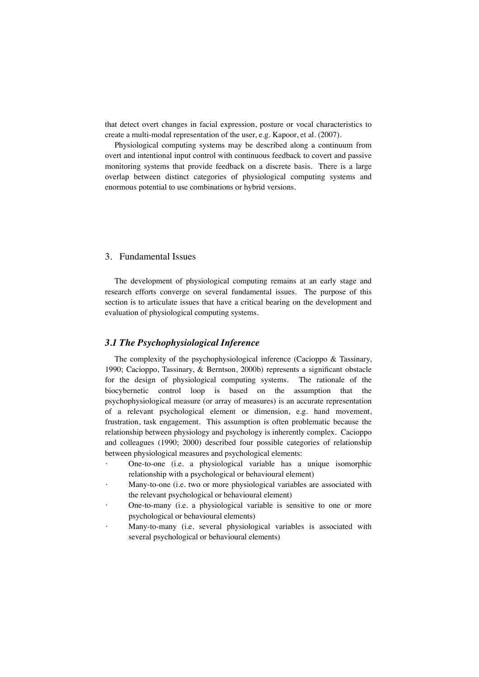that detect overt changes in facial expression, posture or vocal characteristics to create a multi-modal representation of the user, e.g. Kapoor, et al. (2007).

Physiological computing systems may be described along a continuum from overt and intentional input control with continuous feedback to covert and passive monitoring systems that provide feedback on a discrete basis. There is a large overlap between distinct categories of physiological computing systems and enormous potential to use combinations or hybrid versions.

#### 3. Fundamental Issues

The development of physiological computing remains at an early stage and research efforts converge on several fundamental issues. The purpose of this section is to articulate issues that have a critical bearing on the development and evaluation of physiological computing systems.

#### *3.1 The Psychophysiological Inference*

The complexity of the psychophysiological inference (Cacioppo & Tassinary, 1990; Cacioppo, Tassinary, & Berntson, 2000b) represents a significant obstacle for the design of physiological computing systems. The rationale of the biocybernetic control loop is based on the assumption that the psychophysiological measure (or array of measures) is an accurate representation of a relevant psychological element or dimension, e.g. hand movement, frustration, task engagement. This assumption is often problematic because the relationship between physiology and psychology is inherently complex. Cacioppo and colleagues (1990; 2000) described four possible categories of relationship between physiological measures and psychological elements:

- · One-to-one (i.e. a physiological variable has a unique isomorphic relationship with a psychological or behavioural element)
- Many-to-one (i.e. two or more physiological variables are associated with the relevant psychological or behavioural element)
- · One-to-many (i.e. a physiological variable is sensitive to one or more psychological or behavioural elements)
- Many-to-many (i.e. several physiological variables is associated with several psychological or behavioural elements)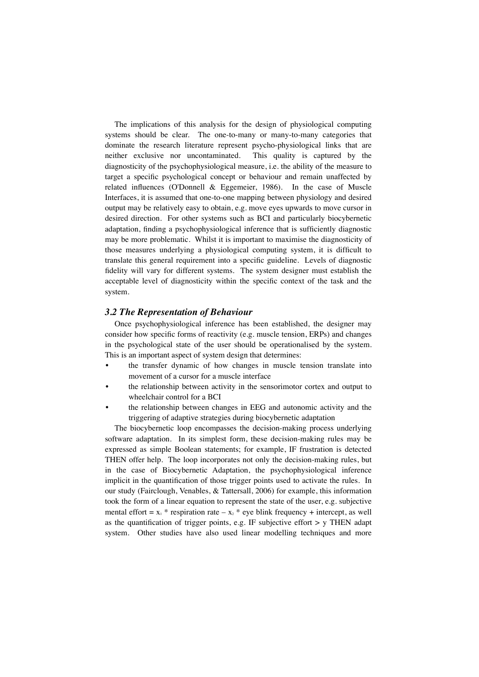The implications of this analysis for the design of physiological computing systems should be clear. The one-to-many or many-to-many categories that dominate the research literature represent psycho-physiological links that are neither exclusive nor uncontaminated. This quality is captured by the diagnosticity of the psychophysiological measure, i.e. the ability of the measure to target a specific psychological concept or behaviour and remain unaffected by related influences (O'Donnell & Eggemeier, 1986). In the case of Muscle Interfaces, it is assumed that one-to-one mapping between physiology and desired output may be relatively easy to obtain, e.g. move eyes upwards to move cursor in desired direction. For other systems such as BCI and particularly biocybernetic adaptation, finding a psychophysiological inference that is sufficiently diagnostic may be more problematic. Whilst it is important to maximise the diagnosticity of those measures underlying a physiological computing system, it is difficult to translate this general requirement into a specific guideline. Levels of diagnostic fidelity will vary for different systems. The system designer must establish the acceptable level of diagnosticity within the specific context of the task and the system.

# *3.2 The Representation of Behaviour*

Once psychophysiological inference has been established, the designer may consider how specific forms of reactivity (e.g. muscle tension, ERPs) and changes in the psychological state of the user should be operationalised by the system. This is an important aspect of system design that determines:

- the transfer dynamic of how changes in muscle tension translate into movement of a cursor for a muscle interface
- the relationship between activity in the sensorimotor cortex and output to wheelchair control for a BCI
- the relationship between changes in EEG and autonomic activity and the triggering of adaptive strategies during biocybernetic adaptation

The biocybernetic loop encompasses the decision-making process underlying software adaptation. In its simplest form, these decision-making rules may be expressed as simple Boolean statements; for example, IF frustration is detected THEN offer help. The loop incorporates not only the decision-making rules, but in the case of Biocybernetic Adaptation, the psychophysiological inference implicit in the quantification of those trigger points used to activate the rules. In our study (Fairclough, Venables, & Tattersall, 2006) for example, this information took the form of a linear equation to represent the state of the user, e.g. subjective mental effort =  $x_1$  \* respiration rate –  $x_2$  \* eye blink frequency + intercept, as well as the quantification of trigger points, e.g. IF subjective effort  $>$  y THEN adapt system. Other studies have also used linear modelling techniques and more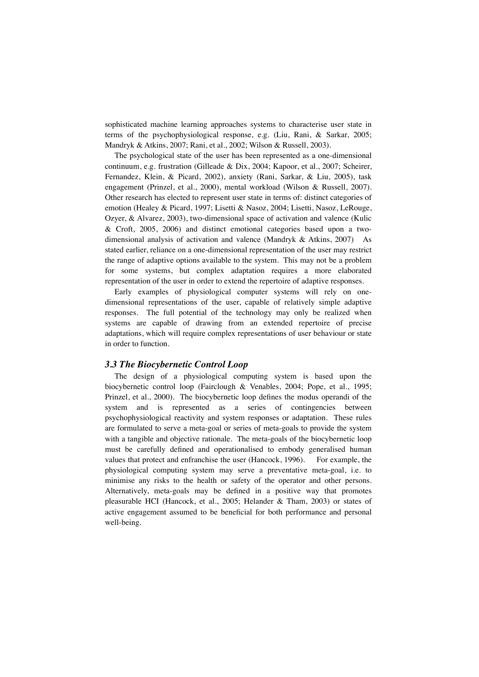sophisticated machine learning approaches systems to characterise user state in terms of the psychophysiological response, e.g. (Liu, Rani, & Sarkar, 2005; Mandryk & Atkins, 2007; Rani, et al., 2002; Wilson & Russell, 2003).

The psychological state of the user has been represented as a one-dimensional continuum, e.g. frustration (Gilleade & Dix, 2004; Kapoor, et al., 2007; Scheirer, Fernandez, Klein, & Picard, 2002), anxiety (Rani, Sarkar, & Liu, 2005), task engagement (Prinzel, et al., 2000), mental workload (Wilson & Russell, 2007). Other research has elected to represent user state in terms of: distinct categories of emotion (Healey & Picard, 1997; Lisetti & Nasoz, 2004; Lisetti, Nasoz, LeRouge, Ozyer, & Alvarez, 2003), two-dimensional space of activation and valence (Kulic & Croft, 2005, 2006) and distinct emotional categories based upon a twodimensional analysis of activation and valence (Mandryk & Atkins, 2007) As stated earlier, reliance on a one-dimensional representation of the user may restrict the range of adaptive options available to the system. This may not be a problem for some systems, but complex adaptation requires a more elaborated representation of the user in order to extend the repertoire of adaptive responses.

Early examples of physiological computer systems will rely on onedimensional representations of the user, capable of relatively simple adaptive responses. The full potential of the technology may only be realized when systems are capable of drawing from an extended repertoire of precise adaptations, which will require complex representations of user behaviour or state in order to function.

#### *3.3 The Biocybernetic Control Loop*

The design of a physiological computing system is based upon the biocybernetic control loop (Fairclough & Venables, 2004; Pope, et al., 1995; Prinzel, et al., 2000). The biocybernetic loop defines the modus operandi of the system and is represented as a series of contingencies between psychophysiological reactivity and system responses or adaptation. These rules are formulated to serve a meta-goal or series of meta-goals to provide the system with a tangible and objective rationale. The meta-goals of the biocybernetic loop must be carefully defined and operationalised to embody generalised human values that protect and enfranchise the user (Hancock, 1996). For example, the physiological computing system may serve a preventative meta-goal, i.e. to minimise any risks to the health or safety of the operator and other persons. Alternatively, meta-goals may be defined in a positive way that promotes pleasurable HCI (Hancock, et al., 2005; Helander & Tham, 2003) or states of active engagement assumed to be beneficial for both performance and personal well-being.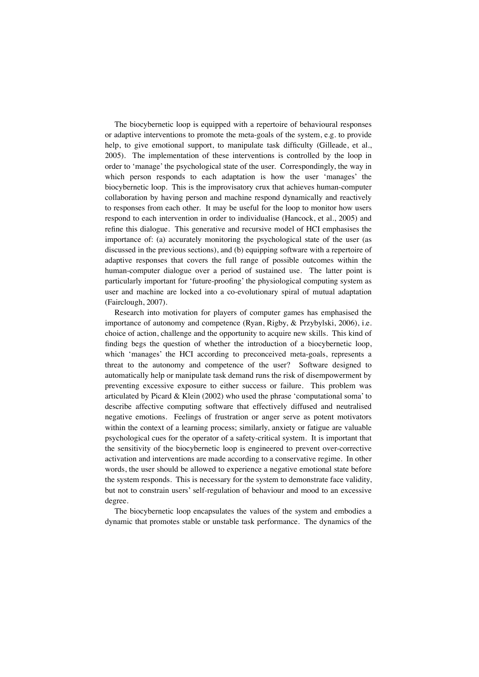The biocybernetic loop is equipped with a repertoire of behavioural responses or adaptive interventions to promote the meta-goals of the system, e.g. to provide help, to give emotional support, to manipulate task difficulty (Gilleade, et al., 2005). The implementation of these interventions is controlled by the loop in order to 'manage' the psychological state of the user. Correspondingly, the way in which person responds to each adaptation is how the user 'manages' the biocybernetic loop. This is the improvisatory crux that achieves human-computer collaboration by having person and machine respond dynamically and reactively to responses from each other. It may be useful for the loop to monitor how users respond to each intervention in order to individualise (Hancock, et al., 2005) and refine this dialogue. This generative and recursive model of HCI emphasises the importance of: (a) accurately monitoring the psychological state of the user (as discussed in the previous sections), and (b) equipping software with a repertoire of adaptive responses that covers the full range of possible outcomes within the human-computer dialogue over a period of sustained use. The latter point is particularly important for 'future-proofing' the physiological computing system as user and machine are locked into a co-evolutionary spiral of mutual adaptation (Fairclough, 2007).

Research into motivation for players of computer games has emphasised the importance of autonomy and competence (Ryan, Rigby, & Przybylski, 2006), i.e. choice of action, challenge and the opportunity to acquire new skills. This kind of finding begs the question of whether the introduction of a biocybernetic loop, which 'manages' the HCI according to preconceived meta-goals, represents a threat to the autonomy and competence of the user? Software designed to automatically help or manipulate task demand runs the risk of disempowerment by preventing excessive exposure to either success or failure. This problem was articulated by Picard & Klein (2002) who used the phrase 'computational soma' to describe affective computing software that effectively diffused and neutralised negative emotions. Feelings of frustration or anger serve as potent motivators within the context of a learning process; similarly, anxiety or fatigue are valuable psychological cues for the operator of a safety-critical system. It is important that the sensitivity of the biocybernetic loop is engineered to prevent over-corrective activation and interventions are made according to a conservative regime. In other words, the user should be allowed to experience a negative emotional state before the system responds. This is necessary for the system to demonstrate face validity, but not to constrain users' self-regulation of behaviour and mood to an excessive degree.

The biocybernetic loop encapsulates the values of the system and embodies a dynamic that promotes stable or unstable task performance. The dynamics of the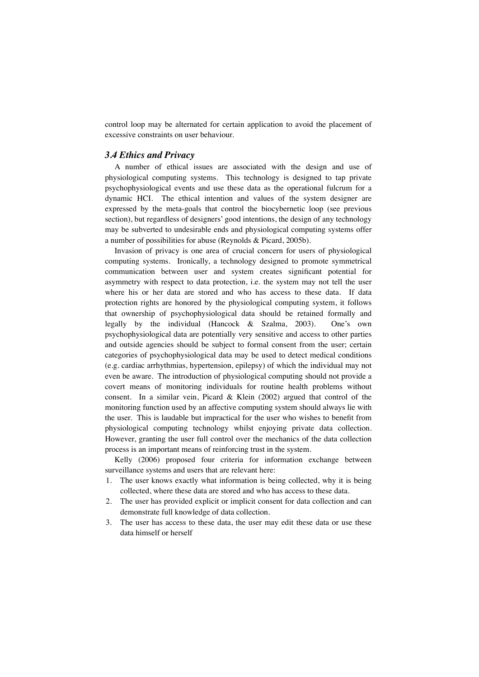control loop may be alternated for certain application to avoid the placement of excessive constraints on user behaviour.

#### *3.4 Ethics and Privacy*

A number of ethical issues are associated with the design and use of physiological computing systems. This technology is designed to tap private psychophysiological events and use these data as the operational fulcrum for a dynamic HCI. The ethical intention and values of the system designer are expressed by the meta-goals that control the biocybernetic loop (see previous section), but regardless of designers' good intentions, the design of any technology may be subverted to undesirable ends and physiological computing systems offer a number of possibilities for abuse (Reynolds & Picard, 2005b).

Invasion of privacy is one area of crucial concern for users of physiological computing systems. Ironically, a technology designed to promote symmetrical communication between user and system creates significant potential for asymmetry with respect to data protection, i.e. the system may not tell the user where his or her data are stored and who has access to these data. If data protection rights are honored by the physiological computing system, it follows that ownership of psychophysiological data should be retained formally and legally by the individual (Hancock & Szalma, 2003). One's own psychophysiological data are potentially very sensitive and access to other parties and outside agencies should be subject to formal consent from the user; certain categories of psychophysiological data may be used to detect medical conditions (e.g. cardiac arrhythmias, hypertension, epilepsy) of which the individual may not even be aware. The introduction of physiological computing should not provide a covert means of monitoring individuals for routine health problems without consent. In a similar vein, Picard & Klein  $(2002)$  argued that control of the monitoring function used by an affective computing system should always lie with the user. This is laudable but impractical for the user who wishes to benefit from physiological computing technology whilst enjoying private data collection. However, granting the user full control over the mechanics of the data collection process is an important means of reinforcing trust in the system.

Kelly (2006) proposed four criteria for information exchange between surveillance systems and users that are relevant here:

- 1. The user knows exactly what information is being collected, why it is being collected, where these data are stored and who has access to these data.
- 2. The user has provided explicit or implicit consent for data collection and can demonstrate full knowledge of data collection.
- 3. The user has access to these data, the user may edit these data or use these data himself or herself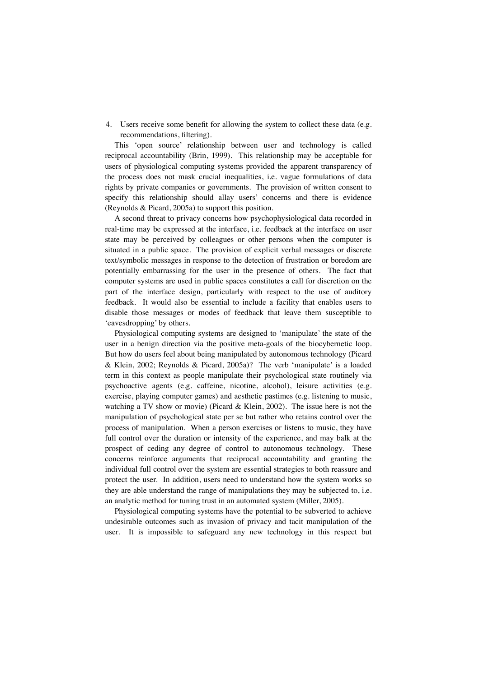4. Users receive some benefit for allowing the system to collect these data (e.g. recommendations, filtering).

This 'open source' relationship between user and technology is called reciprocal accountability (Brin, 1999). This relationship may be acceptable for users of physiological computing systems provided the apparent transparency of the process does not mask crucial inequalities, i.e. vague formulations of data rights by private companies or governments. The provision of written consent to specify this relationship should allay users' concerns and there is evidence (Reynolds & Picard, 2005a) to support this position.

A second threat to privacy concerns how psychophysiological data recorded in real-time may be expressed at the interface, i.e. feedback at the interface on user state may be perceived by colleagues or other persons when the computer is situated in a public space. The provision of explicit verbal messages or discrete text/symbolic messages in response to the detection of frustration or boredom are potentially embarrassing for the user in the presence of others. The fact that computer systems are used in public spaces constitutes a call for discretion on the part of the interface design, particularly with respect to the use of auditory feedback. It would also be essential to include a facility that enables users to disable those messages or modes of feedback that leave them susceptible to 'eavesdropping' by others.

Physiological computing systems are designed to 'manipulate' the state of the user in a benign direction via the positive meta-goals of the biocybernetic loop. But how do users feel about being manipulated by autonomous technology (Picard & Klein, 2002; Reynolds & Picard, 2005a)? The verb 'manipulate' is a loaded term in this context as people manipulate their psychological state routinely via psychoactive agents (e.g. caffeine, nicotine, alcohol), leisure activities (e.g. exercise, playing computer games) and aesthetic pastimes (e.g. listening to music, watching a TV show or movie) (Picard & Klein, 2002). The issue here is not the manipulation of psychological state per se but rather who retains control over the process of manipulation. When a person exercises or listens to music, they have full control over the duration or intensity of the experience, and may balk at the prospect of ceding any degree of control to autonomous technology. These concerns reinforce arguments that reciprocal accountability and granting the individual full control over the system are essential strategies to both reassure and protect the user. In addition, users need to understand how the system works so they are able understand the range of manipulations they may be subjected to, i.e. an analytic method for tuning trust in an automated system (Miller, 2005).

Physiological computing systems have the potential to be subverted to achieve undesirable outcomes such as invasion of privacy and tacit manipulation of the user. It is impossible to safeguard any new technology in this respect but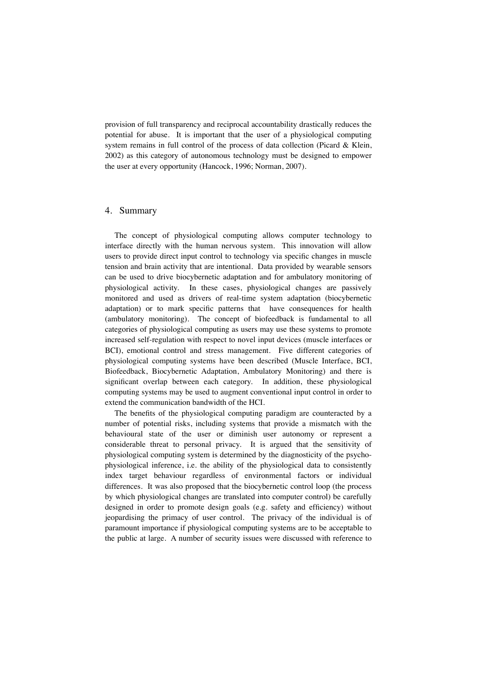provision of full transparency and reciprocal accountability drastically reduces the potential for abuse. It is important that the user of a physiological computing system remains in full control of the process of data collection (Picard & Klein, 2002) as this category of autonomous technology must be designed to empower the user at every opportunity (Hancock, 1996; Norman, 2007).

#### 4. Summary

The concept of physiological computing allows computer technology to interface directly with the human nervous system. This innovation will allow users to provide direct input control to technology via specific changes in muscle tension and brain activity that are intentional. Data provided by wearable sensors can be used to drive biocybernetic adaptation and for ambulatory monitoring of physiological activity. In these cases, physiological changes are passively monitored and used as drivers of real-time system adaptation (biocybernetic adaptation) or to mark specific patterns that have consequences for health (ambulatory monitoring). The concept of biofeedback is fundamental to all categories of physiological computing as users may use these systems to promote increased self-regulation with respect to novel input devices (muscle interfaces or BCI), emotional control and stress management. Five different categories of physiological computing systems have been described (Muscle Interface, BCI, Biofeedback, Biocybernetic Adaptation, Ambulatory Monitoring) and there is significant overlap between each category. In addition, these physiological computing systems may be used to augment conventional input control in order to extend the communication bandwidth of the HCI.

The benefits of the physiological computing paradigm are counteracted by a number of potential risks, including systems that provide a mismatch with the behavioural state of the user or diminish user autonomy or represent a considerable threat to personal privacy. It is argued that the sensitivity of physiological computing system is determined by the diagnosticity of the psychophysiological inference, i.e. the ability of the physiological data to consistently index target behaviour regardless of environmental factors or individual differences. It was also proposed that the biocybernetic control loop (the process by which physiological changes are translated into computer control) be carefully designed in order to promote design goals (e.g. safety and efficiency) without jeopardising the primacy of user control. The privacy of the individual is of paramount importance if physiological computing systems are to be acceptable to the public at large. A number of security issues were discussed with reference to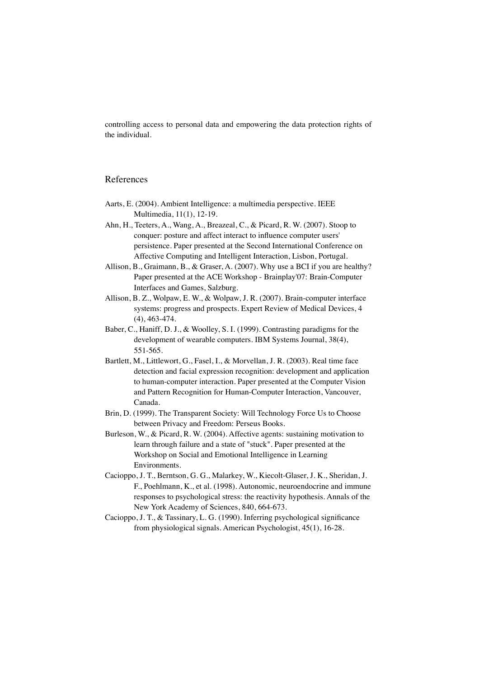controlling access to personal data and empowering the data protection rights of the individual.

# References

- Aarts, E. (2004). Ambient Intelligence: a multimedia perspective. IEEE Multimedia, 11(1), 12-19.
- Ahn, H., Teeters, A., Wang, A., Breazeal, C., & Picard, R. W. (2007). Stoop to conquer: posture and affect interact to influence computer users' persistence. Paper presented at the Second International Conference on Affective Computing and Intelligent Interaction, Lisbon, Portugal.
- Allison, B., Graimann, B., & Graser, A. (2007). Why use a BCI if you are healthy? Paper presented at the ACE Workshop - Brainplay'07: Brain-Computer Interfaces and Games, Salzburg.
- Allison, B. Z., Wolpaw, E. W., & Wolpaw, J. R. (2007). Brain-computer interface systems: progress and prospects. Expert Review of Medical Devices, 4 (4), 463-474.
- Baber, C., Haniff, D. J., & Woolley, S. I. (1999). Contrasting paradigms for the development of wearable computers. IBM Systems Journal, 38(4), 551-565.
- Bartlett, M., Littlewort, G., Fasel, I., & Morvellan, J. R. (2003). Real time face detection and facial expression recognition: development and application to human-computer interaction. Paper presented at the Computer Vision and Pattern Recognition for Human-Computer Interaction, Vancouver, Canada.
- Brin, D. (1999). The Transparent Society: Will Technology Force Us to Choose between Privacy and Freedom: Perseus Books.
- Burleson, W., & Picard, R. W. (2004). Affective agents: sustaining motivation to learn through failure and a state of "stuck". Paper presented at the Workshop on Social and Emotional Intelligence in Learning Environments.
- Cacioppo, J. T., Berntson, G. G., Malarkey, W., Kiecolt-Glaser, J. K., Sheridan, J. F., Poehlmann, K., et al. (1998). Autonomic, neuroendocrine and immune responses to psychological stress: the reactivity hypothesis. Annals of the New York Academy of Sciences, 840, 664-673.
- Cacioppo, J. T., & Tassinary, L. G. (1990). Inferring psychological significance from physiological signals. American Psychologist, 45(1), 16-28.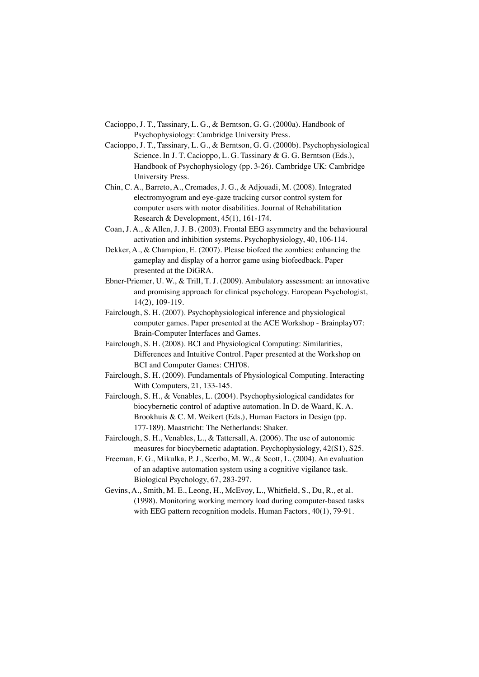- Cacioppo, J. T., Tassinary, L. G., & Berntson, G. G. (2000a). Handbook of Psychophysiology: Cambridge University Press.
- Cacioppo, J. T., Tassinary, L. G., & Berntson, G. G. (2000b). Psychophysiological Science. In J. T. Cacioppo, L. G. Tassinary & G. G. Berntson (Eds.), Handbook of Psychophysiology (pp. 3-26). Cambridge UK: Cambridge University Press.
- Chin, C. A., Barreto, A., Cremades, J. G., & Adjouadi, M. (2008). Integrated electromyogram and eye-gaze tracking cursor control system for computer users with motor disabilities. Journal of Rehabilitation Research & Development, 45(1), 161-174.
- Coan, J. A., & Allen, J. J. B. (2003). Frontal EEG asymmetry and the behavioural activation and inhibition systems. Psychophysiology, 40, 106-114.
- Dekker, A., & Champion, E. (2007). Please biofeed the zombies: enhancing the gameplay and display of a horror game using biofeedback. Paper presented at the DiGRA.
- Ebner-Priemer, U. W., & Trill, T. J. (2009). Ambulatory assessment: an innovative and promising approach for clinical psychology. European Psychologist, 14(2), 109-119.
- Fairclough, S. H. (2007). Psychophysiological inference and physiological computer games. Paper presented at the ACE Workshop - Brainplay'07: Brain-Computer Interfaces and Games.
- Fairclough, S. H. (2008). BCI and Physiological Computing: Similarities, Differences and Intuitive Control. Paper presented at the Workshop on BCI and Computer Games: CHI'08.
- Fairclough, S. H. (2009). Fundamentals of Physiological Computing. Interacting With Computers, 21, 133-145.
- Fairclough, S. H., & Venables, L. (2004). Psychophysiological candidates for biocybernetic control of adaptive automation. In D. de Waard, K. A. Brookhuis & C. M. Weikert (Eds.), Human Factors in Design (pp. 177-189). Maastricht: The Netherlands: Shaker.
- Fairclough, S. H., Venables, L., & Tattersall, A. (2006). The use of autonomic measures for biocybernetic adaptation. Psychophysiology, 42(S1), S25.
- Freeman, F. G., Mikulka, P. J., Scerbo, M. W., & Scott, L. (2004). An evaluation of an adaptive automation system using a cognitive vigilance task. Biological Psychology, 67, 283-297.
- Gevins, A., Smith, M. E., Leong, H., McEvoy, L., Whitfield, S., Du, R., et al. (1998). Monitoring working memory load during computer-based tasks with EEG pattern recognition models. Human Factors,  $40(1)$ , 79-91.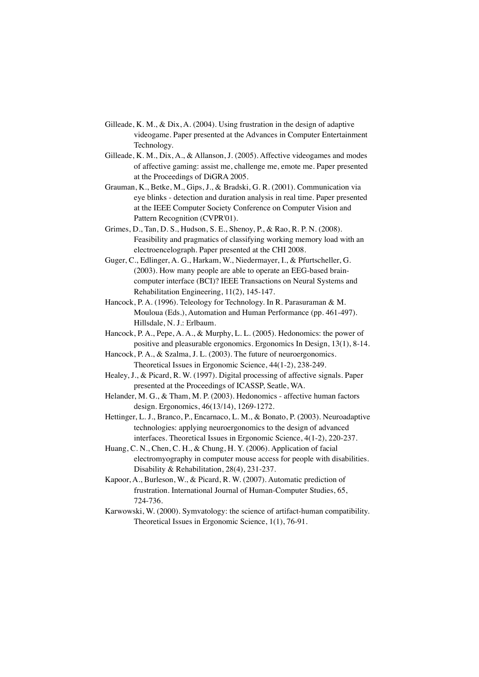- Gilleade, K. M., & Dix, A. (2004). Using frustration in the design of adaptive videogame. Paper presented at the Advances in Computer Entertainment Technology.
- Gilleade, K. M., Dix, A., & Allanson, J. (2005). Affective videogames and modes of affective gaming: assist me, challenge me, emote me. Paper presented at the Proceedings of DiGRA 2005.
- Grauman, K., Betke, M., Gips, J., & Bradski, G. R. (2001). Communication via eye blinks - detection and duration analysis in real time. Paper presented at the IEEE Computer Society Conference on Computer Vision and Pattern Recognition (CVPR'01).
- Grimes, D., Tan, D. S., Hudson, S. E., Shenoy, P., & Rao, R. P. N. (2008). Feasibility and pragmatics of classifying working memory load with an electroencelograph. Paper presented at the CHI 2008.
- Guger, C., Edlinger, A. G., Harkam, W., Niedermayer, I., & Pfurtscheller, G. (2003). How many people are able to operate an EEG-based braincomputer interface (BCI)? IEEE Transactions on Neural Systems and Rehabilitation Engineering, 11(2), 145-147.
- Hancock, P. A. (1996). Teleology for Technology. In R. Parasuraman & M. Mouloua (Eds.), Automation and Human Performance (pp. 461-497). Hillsdale, N. J.: Erlbaum.
- Hancock, P. A., Pepe, A. A., & Murphy, L. L. (2005). Hedonomics: the power of positive and pleasurable ergonomics. Ergonomics In Design, 13(1), 8-14.
- Hancock, P. A., & Szalma, J. L. (2003). The future of neuroergonomics. Theoretical Issues in Ergonomic Science, 44(1-2), 238-249.
- Healey, J., & Picard, R. W. (1997). Digital processing of affective signals. Paper presented at the Proceedings of ICASSP, Seatle, WA.
- Helander, M. G., & Tham, M. P. (2003). Hedonomics affective human factors design. Ergonomics, 46(13/14), 1269-1272.
- Hettinger, L. J., Branco, P., Encarnaco, L. M., & Bonato, P. (2003). Neuroadaptive technologies: applying neuroergonomics to the design of advanced interfaces. Theoretical Issues in Ergonomic Science, 4(1-2), 220-237.
- Huang, C. N., Chen, C. H., & Chung, H. Y. (2006). Application of facial electromyography in computer mouse access for people with disabilities. Disability & Rehabilitation, 28(4), 231-237.
- Kapoor, A., Burleson, W., & Picard, R. W. (2007). Automatic prediction of frustration. International Journal of Human-Computer Studies, 65, 724-736.
- Karwowski, W. (2000). Symvatology: the science of artifact-human compatibility. Theoretical Issues in Ergonomic Science, 1(1), 76-91.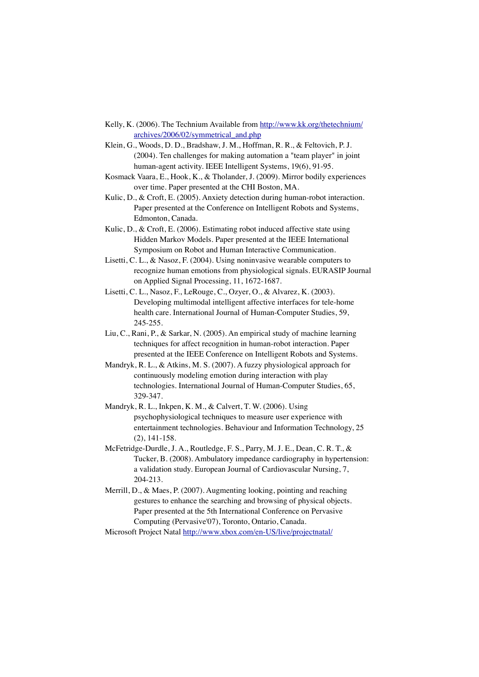- Kelly, K. (2006). The Technium Available from [http://www.kk.org/thetechnium/](http://www.kk.org/thetechnium/archives/2006/02/symmetrical_and.php) [archives/2006/02/symmetrical\\_and.php](http://www.kk.org/thetechnium/archives/2006/02/symmetrical_and.php)
- Klein, G., Woods, D. D., Bradshaw, J. M., Hoffman, R. R., & Feltovich, P. J. (2004). Ten challenges for making automation a "team player" in joint human-agent activity. IEEE Intelligent Systems, 19(6), 91-95.
- Kosmack Vaara, E., Hook, K., & Tholander, J. (2009). Mirror bodily experiences over time. Paper presented at the CHI Boston, MA.
- Kulic, D., & Croft, E. (2005). Anxiety detection during human-robot interaction. Paper presented at the Conference on Intelligent Robots and Systems, Edmonton, Canada.
- Kulic, D., & Croft, E. (2006). Estimating robot induced affective state using Hidden Markov Models. Paper presented at the IEEE International Symposium on Robot and Human Interactive Communication.
- Lisetti, C. L., & Nasoz, F. (2004). Using noninvasive wearable computers to recognize human emotions from physiological signals. EURASIP Journal on Applied Signal Processing, 11, 1672-1687.
- Lisetti, C. L., Nasoz, F., LeRouge, C., Ozyer, O., & Alvarez, K. (2003). Developing multimodal intelligent affective interfaces for tele-home health care. International Journal of Human-Computer Studies, 59, 245-255.
- Liu, C., Rani, P., & Sarkar, N. (2005). An empirical study of machine learning techniques for affect recognition in human-robot interaction. Paper presented at the IEEE Conference on Intelligent Robots and Systems.
- Mandryk, R. L., & Atkins, M. S. (2007). A fuzzy physiological approach for continuously modeling emotion during interaction with play technologies. International Journal of Human-Computer Studies, 65, 329-347.
- Mandryk, R. L., Inkpen, K. M., & Calvert, T. W. (2006). Using psychophysiological techniques to measure user experience with entertainment technologies. Behaviour and Information Technology, 25 (2), 141-158.
- McFetridge-Durdle, J. A., Routledge, F. S., Parry, M. J. E., Dean, C. R. T., & Tucker, B. (2008). Ambulatory impedance cardiography in hypertension: a validation study. European Journal of Cardiovascular Nursing, 7, 204-213.
- Merrill, D., & Maes, P. (2007). Augmenting looking, pointing and reaching gestures to enhance the searching and browsing of physical objects. Paper presented at the 5th International Conference on Pervasive Computing (Pervasive'07), Toronto, Ontario, Canada.

Microsoft Project Natal<http://www.xbox.com/en-US/live/projectnatal/>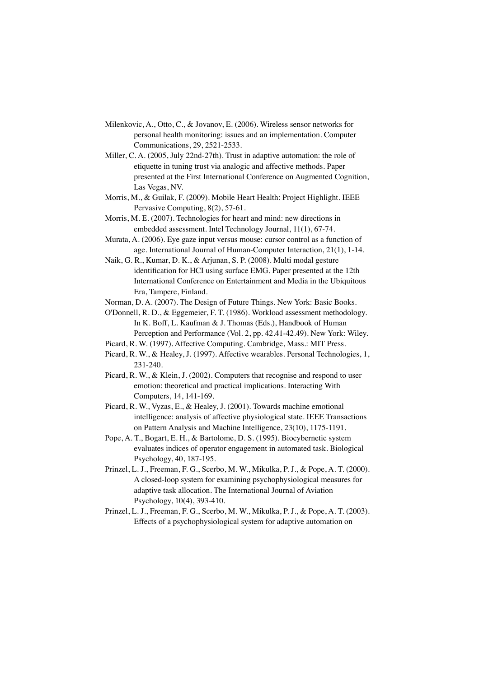- Milenkovic, A., Otto, C., & Jovanov, E. (2006). Wireless sensor networks for personal health monitoring: issues and an implementation. Computer Communications, 29, 2521-2533.
- Miller, C. A. (2005, July 22nd-27th). Trust in adaptive automation: the role of etiquette in tuning trust via analogic and affective methods. Paper presented at the First International Conference on Augmented Cognition, Las Vegas, NV.
- Morris, M., & Guilak, F. (2009). Mobile Heart Health: Project Highlight. IEEE Pervasive Computing, 8(2), 57-61.
- Morris, M. E. (2007). Technologies for heart and mind: new directions in embedded assessment. Intel Technology Journal, 11(1), 67-74.
- Murata, A. (2006). Eye gaze input versus mouse: cursor control as a function of age. International Journal of Human-Computer Interaction, 21(1), 1-14.
- Naik, G. R., Kumar, D. K., & Arjunan, S. P. (2008). Multi modal gesture identification for HCI using surface EMG. Paper presented at the 12th International Conference on Entertainment and Media in the Ubiquitous Era, Tampere, Finland.
- Norman, D. A. (2007). The Design of Future Things. New York: Basic Books.
- O'Donnell, R. D., & Eggemeier, F. T. (1986). Workload assessment methodology. In K. Boff, L. Kaufman & J. Thomas (Eds.), Handbook of Human Perception and Performance (Vol. 2, pp. 42.41-42.49). New York: Wiley.
- Picard, R. W. (1997). Affective Computing. Cambridge, Mass.: MIT Press.
- Picard, R. W., & Healey, J. (1997). Affective wearables. Personal Technologies, 1, 231-240.
- Picard, R. W., & Klein, J. (2002). Computers that recognise and respond to user emotion: theoretical and practical implications. Interacting With Computers, 14, 141-169.
- Picard, R. W., Vyzas, E., & Healey, J. (2001). Towards machine emotional intelligence: analysis of affective physiological state. IEEE Transactions on Pattern Analysis and Machine Intelligence, 23(10), 1175-1191.
- Pope, A. T., Bogart, E. H., & Bartolome, D. S. (1995). Biocybernetic system evaluates indices of operator engagement in automated task. Biological Psychology, 40, 187-195.
- Prinzel, L. J., Freeman, F. G., Scerbo, M. W., Mikulka, P. J., & Pope, A. T. (2000). A closed-loop system for examining psychophysiological measures for adaptive task allocation. The International Journal of Aviation Psychology, 10(4), 393-410.
- Prinzel, L. J., Freeman, F. G., Scerbo, M. W., Mikulka, P. J., & Pope, A. T. (2003). Effects of a psychophysiological system for adaptive automation on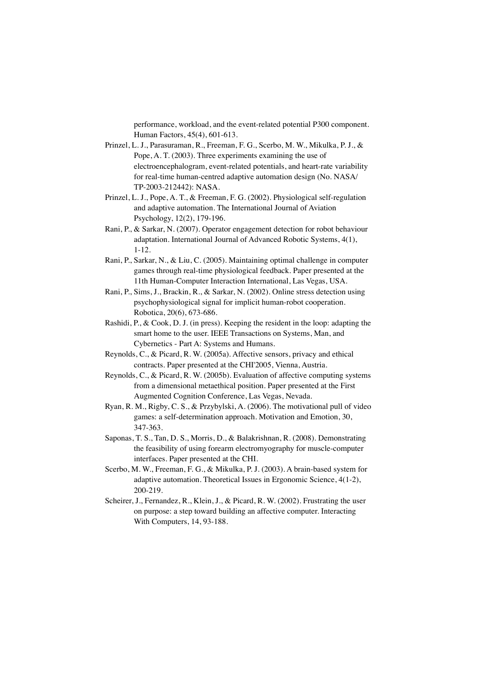performance, workload, and the event-related potential P300 component. Human Factors, 45(4), 601-613.

- Prinzel, L. J., Parasuraman, R., Freeman, F. G., Scerbo, M. W., Mikulka, P. J., & Pope, A. T. (2003). Three experiments examining the use of electroencephalogram, event-related potentials, and heart-rate variability for real-time human-centred adaptive automation design (No. NASA/ TP-2003-212442): NASA.
- Prinzel, L. J., Pope, A. T., & Freeman, F. G. (2002). Physiological self-regulation and adaptive automation. The International Journal of Aviation Psychology, 12(2), 179-196.
- Rani, P., & Sarkar, N. (2007). Operator engagement detection for robot behaviour adaptation. International Journal of Advanced Robotic Systems, 4(1), 1-12.
- Rani, P., Sarkar, N., & Liu, C. (2005). Maintaining optimal challenge in computer games through real-time physiological feedback. Paper presented at the 11th Human-Computer Interaction International, Las Vegas, USA.
- Rani, P., Sims, J., Brackin, R., & Sarkar, N. (2002). Online stress detection using psychophysiological signal for implicit human-robot cooperation. Robotica, 20(6), 673-686.
- Rashidi, P., & Cook, D. J. (in press). Keeping the resident in the loop: adapting the smart home to the user. IEEE Transactions on Systems, Man, and Cybernetics - Part A: Systems and Humans.
- Reynolds, C., & Picard, R. W. (2005a). Affective sensors, privacy and ethical contracts. Paper presented at the CHI'2005, Vienna, Austria.
- Reynolds, C., & Picard, R. W. (2005b). Evaluation of affective computing systems from a dimensional metaethical position. Paper presented at the First Augmented Cognition Conference, Las Vegas, Nevada.
- Ryan, R. M., Rigby, C. S., & Przybylski, A. (2006). The motivational pull of video games: a self-determination approach. Motivation and Emotion, 30, 347-363.
- Saponas, T. S., Tan, D. S., Morris, D., & Balakrishnan, R. (2008). Demonstrating the feasibility of using forearm electromyography for muscle-computer interfaces. Paper presented at the CHI.
- Scerbo, M. W., Freeman, F. G., & Mikulka, P. J. (2003). A brain-based system for adaptive automation. Theoretical Issues in Ergonomic Science, 4(1-2), 200-219.
- Scheirer, J., Fernandez, R., Klein, J., & Picard, R. W. (2002). Frustrating the user on purpose: a step toward building an affective computer. Interacting With Computers, 14, 93-188.